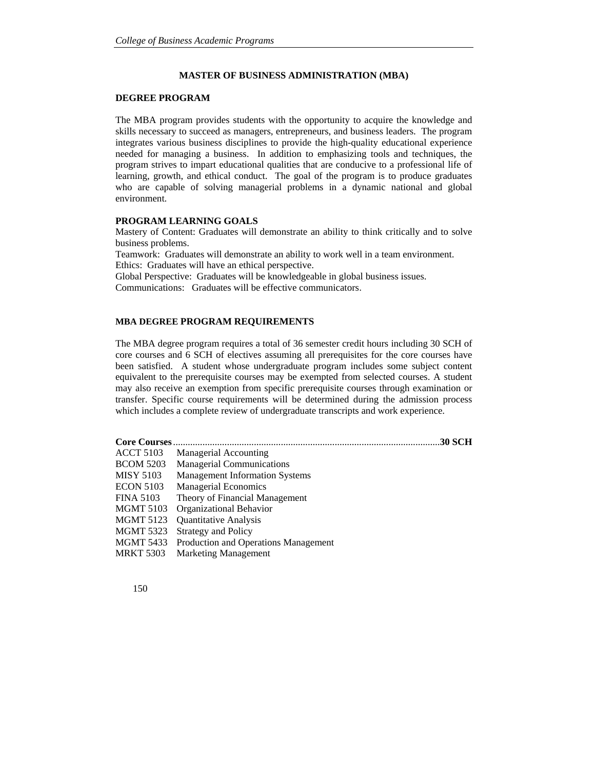## **MASTER OF BUSINESS ADMINISTRATION (MBA)**

### **DEGREE PROGRAM**

The MBA program provides students with the opportunity to acquire the knowledge and skills necessary to succeed as managers, entrepreneurs, and business leaders. The program integrates various business disciplines to provide the high-quality educational experience needed for managing a business. In addition to emphasizing tools and techniques, the program strives to impart educational qualities that are conducive to a professional life of learning, growth, and ethical conduct. The goal of the program is to produce graduates who are capable of solving managerial problems in a dynamic national and global environment.

# **PROGRAM LEARNING GOALS**

Mastery of Content: Graduates will demonstrate an ability to think critically and to solve business problems.

Teamwork: Graduates will demonstrate an ability to work well in a team environment. Ethics: Graduates will have an ethical perspective.

Global Perspective: Graduates will be knowledgeable in global business issues. Communications: Graduates will be effective communicators.

## **MBA DEGREE PROGRAM REQUIREMENTS**

The MBA degree program requires a total of 36 semester credit hours including 30 SCH of core courses and 6 SCH of electives assuming all prerequisites for the core courses have been satisfied. A student whose undergraduate program includes some subject content equivalent to the prerequisite courses may be exempted from selected courses. A student may also receive an exemption from specific prerequisite courses through examination or transfer. Specific course requirements will be determined during the admission process which includes a complete review of undergraduate transcripts and work experience.

| <b>Core Courses</b> | <b>.30 SCH</b>                        |  |
|---------------------|---------------------------------------|--|
| <b>ACCT 5103</b>    | <b>Managerial Accounting</b>          |  |
| <b>BCOM 5203</b>    | <b>Managerial Communications</b>      |  |
| <b>MISY 5103</b>    | <b>Management Information Systems</b> |  |
| <b>ECON 5103</b>    | <b>Managerial Economics</b>           |  |
| <b>FINA 5103</b>    | Theory of Financial Management        |  |
| <b>MGMT 5103</b>    | Organizational Behavior               |  |
| <b>MGMT 5123</b>    | <b>Quantitative Analysis</b>          |  |
| <b>MGMT 5323</b>    | <b>Strategy and Policy</b>            |  |
| MGMT 5433           | Production and Operations Management  |  |
| <b>MRKT 5303</b>    | <b>Marketing Management</b>           |  |

150